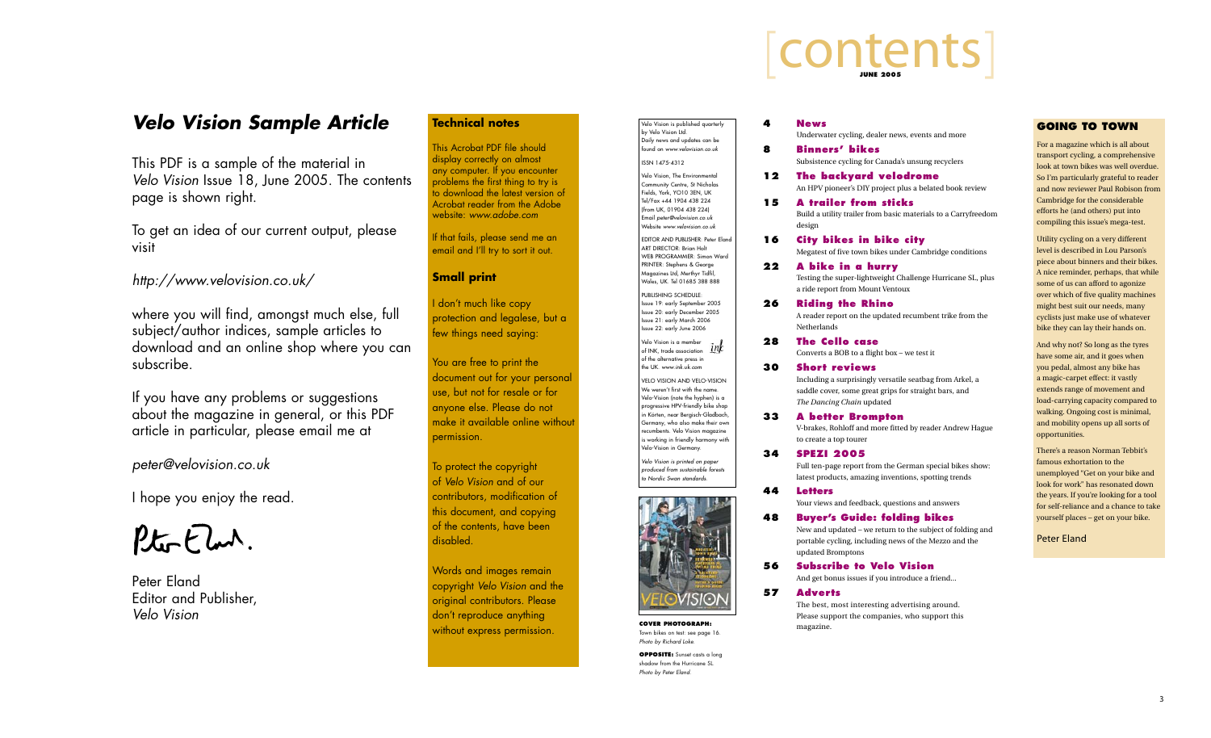**4 News**

Underwater cycling, dealer news, events and more

**8 Binners' bikes**

Subsistence cycling for Canada's unsung recyclers

**12 The backyard velodrome** An HPV pioneer's DIY project plus a belated book review

**15 A trailer from sticks** Build a utility trailer from basic materials to a Carryfreedom

 A reader report on the updated recumbent trike from the **Netherlands** 

 design

### **16 City bikes in bike city**

 Megatest of five town bikes under Cambridge conditions

**22 A bike in a hurry** Testing the super-lightweight Challenge Hurricane SL, plus a ride report from Mount Ventoux

### **26 Riding the Rhino**

**28 The Cello case** Converts a BOB to a flight box – we test it

**30 Short reviews** Including a surprisingly versatile seatbag from Arkel, a saddle cover, some great grips for straight bars, and *The Dancing Chain* updated

**33 A better Brompton**

 V-brakes, Rohloff and more fitted by reader Andrew Hague 

 to create a top tourer

**34 SPEZI 2005**

Full ten-page report from the German special bikes show: latest products, amazing inventions, spotting trends

**44 Letters** Your views and feedback, questions and answers

**48 Buyer's Guide: folding bikes** New and updated – we return to the subject of folding and portable cycling, including news of the Mezzo and the updated Bromptons

**56 Subscribe to Velo Vision** And get bonus issues if you introduce a friend...

### **57 Adverts**

The best, most interesting advertising around. Please support the companies, who support this

 magazine.

# LCONTENTS

### Velo Vision is published quarterly by Velo Vision Ltd. Daily news and updates can be found on *www.velovision.co.uk* ISSN 1475-4312

Velo Vision, The Environmental Community Centre, St Nicholas Fields, York, YO10 3EN, UK Tel/Fax +44 1904 438 224 (from UK, 01904 438 224) Email *peter@velovision.co.uk* Website *www.velovision.co.uk*

EDITOR AND PUBLISHER: Peter Eland ART DIRECTOR: Brian Holt WEB PROGRAMMER: Simon Ward PRINTER: Stephens & George Magazines Ltd, Merthyr Tidfil, Wales, UK. Tel 01685 388 888

**OPPOSITE:** Sunset casts a long shadow from the Hurricane SL. *Photo by Peter Eland.*

PUBLISHING SCHEDULE: Issue 19: early September 2005 Issue 20: early December 2005 Issue 21: early March 2006 Issue 22: early June 2006

Velo Vision is a member of INK, trade association of the alternative press in the UK. *www.ink.uk.com*

If that fails, please send me an email and I'll try to sort it out.

> Velo Vision and Velo-Vision We weren't first with the name. Velo-Vision (note the hyphen) is a progressive HPV-friendly bike shop in Körten, near Bergisch-Gladbach, Germany, who also make their own recumbents. Velo Vision magazine s working in friendly harmony with Velo-Vision in Germany.

*Velo Vision is printed on paper produced from sustainable forests to Nordic Swan standards.*



### **GOING TO TOWN**

For a magazine which is all about transport cycling, a comprehensive look at town bikes was well overdue. So I'm particularly grateful to reader and now reviewer Paul Robison from Cambridge for the considerable efforts he (and others) put into compiling this issue's mega-test.

Utility cycling on a very different level is described in Lou Parson's piece about binners and their bikes. A nice reminder, perhaps, that while some of us can afford to agonize over which of five quality machines might best suit our needs, many cyclists just make use of whatever bike they can lay their hands on.

And why not? So long as the tyres have some air, and it goes when you pedal, almost any bike has a magic-carpet effect: it vastly extends range of movement and load-carrying capacity compared to walking. Ongoing cost is minimal, and mobility opens up all sorts of opportunities.

There's a reason Norman Tebbit's famous exhortation to the unemployed "Get on your bike and look for work" has resonated down the years. If you're looking for a tool for self-reliance and a chance to take yourself places – get on your bike.

Peter Eland

**COVER PHOTOGRAPH:** Town bikes on test: see page 16. *Photo by Richard Loke.*

## *Velo Vision Sample Article*

This PDF is a sample of the material in *Velo Vision* Issue 18, June 2005. The contents page is shown right.

To get an idea of our current output, please visit

### *http://www.velovision.co.uk/*

where you will find, amongst much else, full subject/author indices, sample articles to download and an online shop where you can subscribe.

If you have any problems or suggestions about the magazine in general, or this PDF article in particular, please email me at

*peter@velovision.co.uk*

I hope you enjoy the read.

Pto-Elm.

Peter Eland Editor and Publisher, *Velo Vision*

### **Technical notes**

This Acrobat PDF file should display correctly on almost any computer. If you encounter problems the first thing to try is to download the latest version of Acrobat reader from the Adobe website: *www.adobe.com*

### **Small print**

I don't much like copy protection and legalese, but a few things need saying:

You are free to print the document out for your personal use, but not for resale or for anyone else. Please do not make it available online without permission.

To protect the copyright of *Velo Vision* and of our contributors, modification of this document, and copying of the contents, have been disabled.

Words and images remain copyright *Velo Vision* and the original contributors. Please don't reproduce anything without express permission.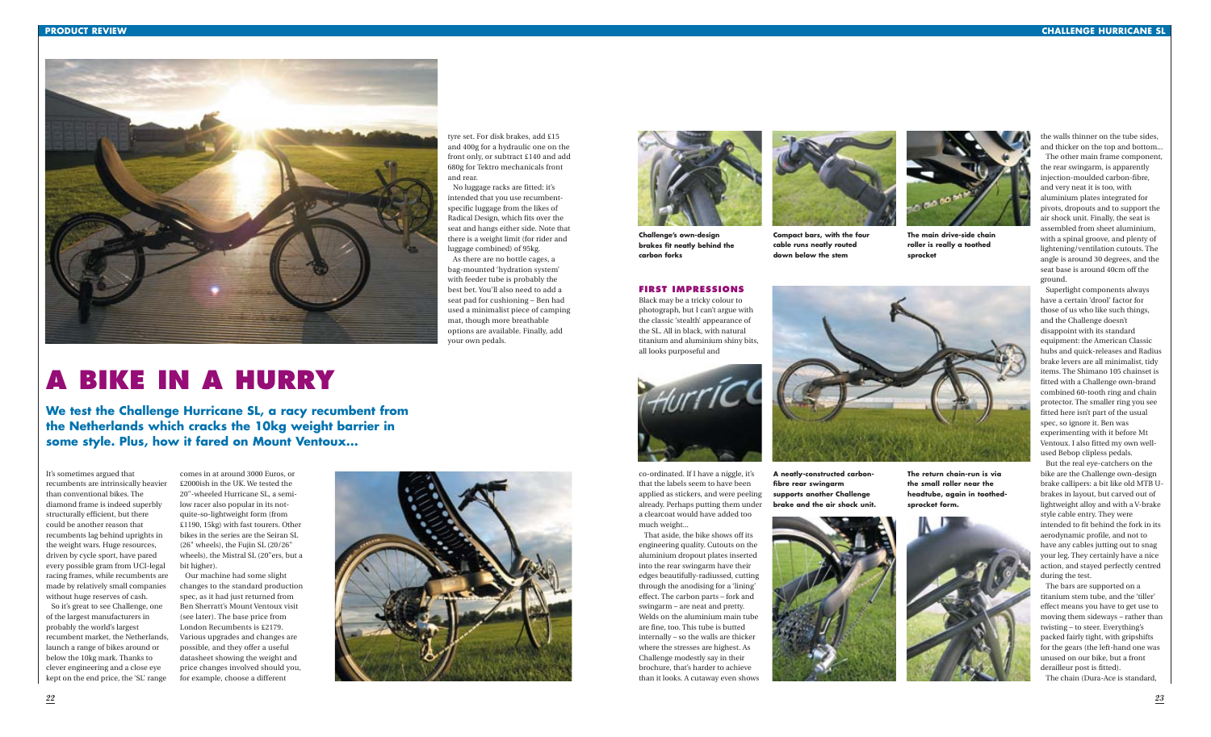### **FIRST IMPRESSIONS**

Black may be a tricky colour to photograph, but I can't argue with the classic 'stealth' appearance of the SL. All in black, with natural titanium and aluminium shiny bits, all looks purposeful and



co-ordinated. If I have a niggle, it's that the labels seem to have been applied as stickers, and were peeling already. Perhaps putting them under a clearcoat would have added too much weight...

That aside, the bike shows off its engineering quality. Cutouts on the aluminium dropout plates inserted into the rear swingarm have their edges beautifully-radiussed, cutting through the anodising for a 'lining' effect. The carbon parts – fork and swingarm – are neat and pretty. Welds on the aluminium main tube are fine, too. This tube is butted internally – so the walls are thicker where the stresses are highest. As Challenge modestly say in their brochure, that's harder to achieve than it looks. A cutaway even shows

the walls thinner on the tube sides, and thicker on the top and bottom...

The other main frame component, the rear swingarm, is apparently injection-moulded carbon-fibre, and very neat it is too, with aluminium plates integrated for pivots, dropouts and to support the air shock unit. Finally, the seat is assembled from sheet aluminium, with a spinal groove, and plenty of lightening/ventilation cutouts. The angle is around 30 degrees, and the seat base is around 40cm off the ground.

Superlight components always have a certain 'drool' factor for those of us who like such things, and the Challenge doesn't disappoint with its standard equipment: the American Classic hubs and quick-releases and Radius brake levers are all minimalist, tidy items. The Shimano 105 chainset is fitted with a Challenge own-brand combined 60-tooth ring and chain protector. The smaller ring you see fitted here isn't part of the usual spec, so ignore it. Ben was experimenting with it before Mt Ventoux. I also fitted my own wellused Bebop clipless pedals.

But the real eye-catchers on the bike are the Challenge own-design brake callipers: a bit like old MTB Ubrakes in layout, but carved out of lightweight alloy and with a V-brake style cable entry. They were intended to fit behind the fork in its aerodynamic profile, and not to have any cables jutting out to snag your leg. They certainly have a nice action, and stayed perfectly centred during the test.

The bars are supported on a titanium stem tube, and the 'tiller' effect means you have to get use to moving them sideways – rather than twisting – to steer. Everything's packed fairly tight, with gripshifts for the gears (the left-hand one was unused on our bike, but a front derailleur post is fitted).

The chain (Dura-Ace is standard,

It's sometimes argued that recumbents are intrinsically heavier than conventional bikes. The diamond frame is indeed superbly structurally efficient, but there could be another reason that recumbents lag behind uprights in the weight wars. Huge resources, driven by cycle sport, have pared every possible gram from UCI-legal racing frames, while recumbents are made by relatively small companies without huge reserves of cash. So it's great to see Challenge, one of the largest manufacturers in

probably the world's largest recumbent market, the Netherlands, launch a range of bikes around or below the 10kg mark. Thanks to clever engineering and a close eye kept on the end price, the 'SL' range

comes in at around 3000 Euros, or £2000ish in the UK. We tested the 20"-wheeled Hurricane SL, a semilow racer also popular in its notquite-so-lightweight form (from £1190, 15kg) with fast tourers. Other bikes in the series are the Seiran SL (26" wheels), the Fujin SL (20/26" wheels), the Mistral SL (20"ers, but a bit higher).

Our machine had some slight changes to the standard production spec, as it had just returned from Ben Sherratt's Mount Ventoux visit (see later). The base price from London Recumbents is £2179. Various upgrades and changes are possible, and they offer a useful datasheet showing the weight and price changes involved should you, for example, choose a different





tyre set. For disk brakes, add £15 and 400g for a hydraulic one on the front only, or subtract £140 and add 680g for Tektro mechanicals front and rear.

No luggage racks are fitted: it's intended that you use recumbentspecific luggage from the likes of Radical Design, which fits over the seat and hangs either side. Note that there is a weight limit (for rider and luggage combined) of 95kg.

As there are no bottle cages, a bag-mounted 'hydration system' with feeder tube is probably the best bet. You'll also need to add a seat pad for cushioning – Ben had used a minimalist piece of camping mat, though more breathable options are available. Finally, add your own pedals.





# **A BIKE IN A HURRY**

**We test the Challenge Hurricane SL, a racy recumbent from the Netherlands which cracks the 10kg weight barrier in some style. Plus, how it fared on Mount Ventoux...**

**Challenge's own-design brakes fit neatly behind the carbon forks**



**Compact bars, with the four cable runs neatly routed down below the stem**







**The main drive-side chain roller is really a toothed sprocket**



**A neatly-constructed carbonfibre rear swingarm supports another Challenge brake and the air shock unit.**